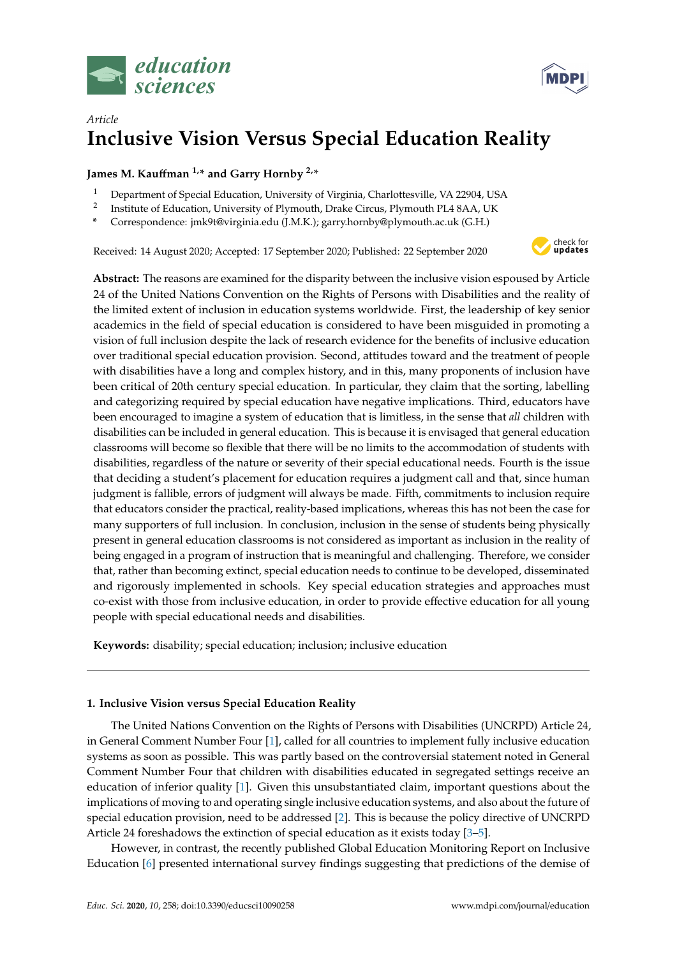



# *Article* **Inclusive Vision Versus Special Education Reality**

# **James M. Kau**ff**man 1,\* and Garry Hornby 2,\***

- <sup>1</sup> Department of Special Education, University of Virginia, Charlottesville, VA 22904, USA
- 2 Institute of Education, University of Plymouth, Drake Circus, Plymouth PL4 8AA, UK
- **\*** Correspondence: jmk9t@virginia.edu (J.M.K.); garry.hornby@plymouth.ac.uk (G.H.)

Received: 14 August 2020; Accepted: 17 September 2020; Published: 22 September 2020



**Abstract:** The reasons are examined for the disparity between the inclusive vision espoused by Article 24 of the United Nations Convention on the Rights of Persons with Disabilities and the reality of the limited extent of inclusion in education systems worldwide. First, the leadership of key senior academics in the field of special education is considered to have been misguided in promoting a vision of full inclusion despite the lack of research evidence for the benefits of inclusive education over traditional special education provision. Second, attitudes toward and the treatment of people with disabilities have a long and complex history, and in this, many proponents of inclusion have been critical of 20th century special education. In particular, they claim that the sorting, labelling and categorizing required by special education have negative implications. Third, educators have been encouraged to imagine a system of education that is limitless, in the sense that *all* children with disabilities can be included in general education. This is because it is envisaged that general education classrooms will become so flexible that there will be no limits to the accommodation of students with disabilities, regardless of the nature or severity of their special educational needs. Fourth is the issue that deciding a student's placement for education requires a judgment call and that, since human judgment is fallible, errors of judgment will always be made. Fifth, commitments to inclusion require that educators consider the practical, reality-based implications, whereas this has not been the case for many supporters of full inclusion. In conclusion, inclusion in the sense of students being physically present in general education classrooms is not considered as important as inclusion in the reality of being engaged in a program of instruction that is meaningful and challenging. Therefore, we consider that, rather than becoming extinct, special education needs to continue to be developed, disseminated and rigorously implemented in schools. Key special education strategies and approaches must co-exist with those from inclusive education, in order to provide effective education for all young people with special educational needs and disabilities.

**Keywords:** disability; special education; inclusion; inclusive education

# **1. Inclusive Vision versus Special Education Reality**

The United Nations Convention on the Rights of Persons with Disabilities (UNCRPD) Article 24, in General Comment Number Four [\[1\]](#page-10-0), called for all countries to implement fully inclusive education systems as soon as possible. This was partly based on the controversial statement noted in General Comment Number Four that children with disabilities educated in segregated settings receive an education of inferior quality [\[1\]](#page-10-0). Given this unsubstantiated claim, important questions about the implications of moving to and operating single inclusive education systems, and also about the future of special education provision, need to be addressed [\[2\]](#page-10-1). This is because the policy directive of UNCRPD Article 24 foreshadows the extinction of special education as it exists today [\[3–](#page-10-2)[5\]](#page-10-3).

However, in contrast, the recently published Global Education Monitoring Report on Inclusive Education [\[6\]](#page-11-0) presented international survey findings suggesting that predictions of the demise of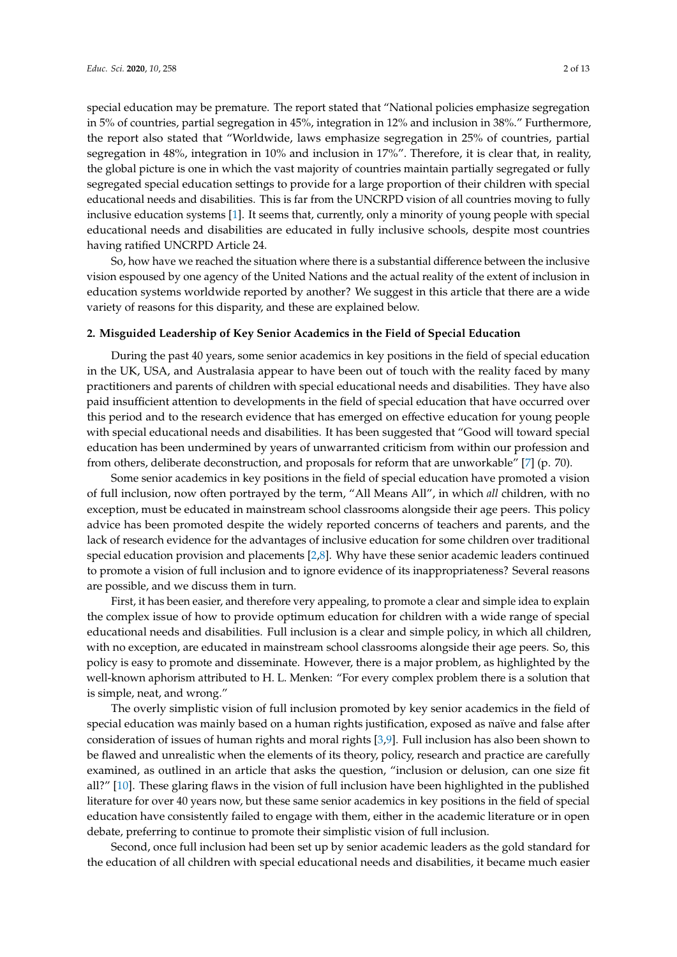special education may be premature. The report stated that "National policies emphasize segregation in 5% of countries, partial segregation in 45%, integration in 12% and inclusion in 38%." Furthermore, the report also stated that "Worldwide, laws emphasize segregation in 25% of countries, partial segregation in 48%, integration in 10% and inclusion in 17%". Therefore, it is clear that, in reality, the global picture is one in which the vast majority of countries maintain partially segregated or fully segregated special education settings to provide for a large proportion of their children with special educational needs and disabilities. This is far from the UNCRPD vision of all countries moving to fully inclusive education systems [\[1\]](#page-10-0). It seems that, currently, only a minority of young people with special educational needs and disabilities are educated in fully inclusive schools, despite most countries having ratified UNCRPD Article 24.

So, how have we reached the situation where there is a substantial difference between the inclusive vision espoused by one agency of the United Nations and the actual reality of the extent of inclusion in education systems worldwide reported by another? We suggest in this article that there are a wide variety of reasons for this disparity, and these are explained below.

#### **2. Misguided Leadership of Key Senior Academics in the Field of Special Education**

During the past 40 years, some senior academics in key positions in the field of special education in the UK, USA, and Australasia appear to have been out of touch with the reality faced by many practitioners and parents of children with special educational needs and disabilities. They have also paid insufficient attention to developments in the field of special education that have occurred over this period and to the research evidence that has emerged on effective education for young people with special educational needs and disabilities. It has been suggested that "Good will toward special education has been undermined by years of unwarranted criticism from within our profession and from others, deliberate deconstruction, and proposals for reform that are unworkable" [\[7\]](#page-11-1) (p. 70).

Some senior academics in key positions in the field of special education have promoted a vision of full inclusion, now often portrayed by the term, "All Means All", in which *all* children, with no exception, must be educated in mainstream school classrooms alongside their age peers. This policy advice has been promoted despite the widely reported concerns of teachers and parents, and the lack of research evidence for the advantages of inclusive education for some children over traditional special education provision and placements [\[2,](#page-10-1)[8\]](#page-11-2). Why have these senior academic leaders continued to promote a vision of full inclusion and to ignore evidence of its inappropriateness? Several reasons are possible, and we discuss them in turn.

First, it has been easier, and therefore very appealing, to promote a clear and simple idea to explain the complex issue of how to provide optimum education for children with a wide range of special educational needs and disabilities. Full inclusion is a clear and simple policy, in which all children, with no exception, are educated in mainstream school classrooms alongside their age peers. So, this policy is easy to promote and disseminate. However, there is a major problem, as highlighted by the well-known aphorism attributed to H. L. Menken: "For every complex problem there is a solution that is simple, neat, and wrong."

The overly simplistic vision of full inclusion promoted by key senior academics in the field of special education was mainly based on a human rights justification, exposed as naïve and false after consideration of issues of human rights and moral rights [\[3,](#page-10-2)[9\]](#page-11-3). Full inclusion has also been shown to be flawed and unrealistic when the elements of its theory, policy, research and practice are carefully examined, as outlined in an article that asks the question, "inclusion or delusion, can one size fit all?" [\[10\]](#page-11-4). These glaring flaws in the vision of full inclusion have been highlighted in the published literature for over 40 years now, but these same senior academics in key positions in the field of special education have consistently failed to engage with them, either in the academic literature or in open debate, preferring to continue to promote their simplistic vision of full inclusion.

Second, once full inclusion had been set up by senior academic leaders as the gold standard for the education of all children with special educational needs and disabilities, it became much easier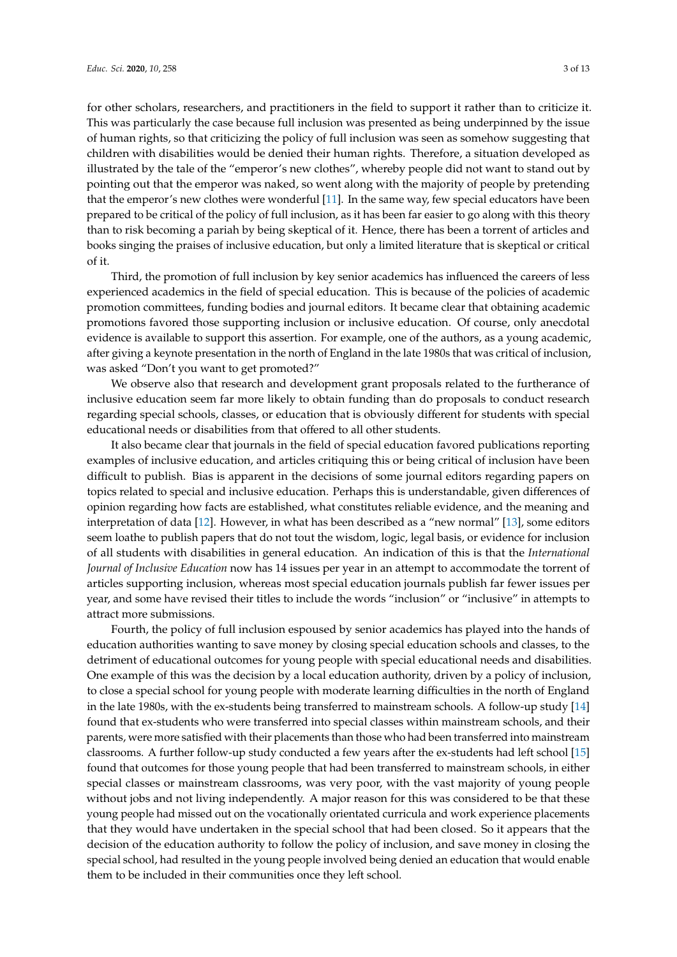for other scholars, researchers, and practitioners in the field to support it rather than to criticize it. This was particularly the case because full inclusion was presented as being underpinned by the issue of human rights, so that criticizing the policy of full inclusion was seen as somehow suggesting that children with disabilities would be denied their human rights. Therefore, a situation developed as illustrated by the tale of the "emperor's new clothes", whereby people did not want to stand out by pointing out that the emperor was naked, so went along with the majority of people by pretending that the emperor's new clothes were wonderful [\[11\]](#page-11-5). In the same way, few special educators have been prepared to be critical of the policy of full inclusion, as it has been far easier to go along with this theory than to risk becoming a pariah by being skeptical of it. Hence, there has been a torrent of articles and books singing the praises of inclusive education, but only a limited literature that is skeptical or critical of it.

Third, the promotion of full inclusion by key senior academics has influenced the careers of less experienced academics in the field of special education. This is because of the policies of academic promotion committees, funding bodies and journal editors. It became clear that obtaining academic promotions favored those supporting inclusion or inclusive education. Of course, only anecdotal evidence is available to support this assertion. For example, one of the authors, as a young academic, after giving a keynote presentation in the north of England in the late 1980s that was critical of inclusion, was asked "Don't you want to get promoted?"

We observe also that research and development grant proposals related to the furtherance of inclusive education seem far more likely to obtain funding than do proposals to conduct research regarding special schools, classes, or education that is obviously different for students with special educational needs or disabilities from that offered to all other students.

It also became clear that journals in the field of special education favored publications reporting examples of inclusive education, and articles critiquing this or being critical of inclusion have been difficult to publish. Bias is apparent in the decisions of some journal editors regarding papers on topics related to special and inclusive education. Perhaps this is understandable, given differences of opinion regarding how facts are established, what constitutes reliable evidence, and the meaning and interpretation of data [\[12\]](#page-11-6). However, in what has been described as a "new normal" [\[13\]](#page-11-7), some editors seem loathe to publish papers that do not tout the wisdom, logic, legal basis, or evidence for inclusion of all students with disabilities in general education. An indication of this is that the *International Journal of Inclusive Education* now has 14 issues per year in an attempt to accommodate the torrent of articles supporting inclusion, whereas most special education journals publish far fewer issues per year, and some have revised their titles to include the words "inclusion" or "inclusive" in attempts to attract more submissions.

Fourth, the policy of full inclusion espoused by senior academics has played into the hands of education authorities wanting to save money by closing special education schools and classes, to the detriment of educational outcomes for young people with special educational needs and disabilities. One example of this was the decision by a local education authority, driven by a policy of inclusion, to close a special school for young people with moderate learning difficulties in the north of England in the late 1980s, with the ex-students being transferred to mainstream schools. A follow-up study [\[14\]](#page-11-8) found that ex-students who were transferred into special classes within mainstream schools, and their parents, were more satisfied with their placements than those who had been transferred into mainstream classrooms. A further follow-up study conducted a few years after the ex-students had left school [\[15\]](#page-11-9) found that outcomes for those young people that had been transferred to mainstream schools, in either special classes or mainstream classrooms, was very poor, with the vast majority of young people without jobs and not living independently. A major reason for this was considered to be that these young people had missed out on the vocationally orientated curricula and work experience placements that they would have undertaken in the special school that had been closed. So it appears that the decision of the education authority to follow the policy of inclusion, and save money in closing the special school, had resulted in the young people involved being denied an education that would enable them to be included in their communities once they left school.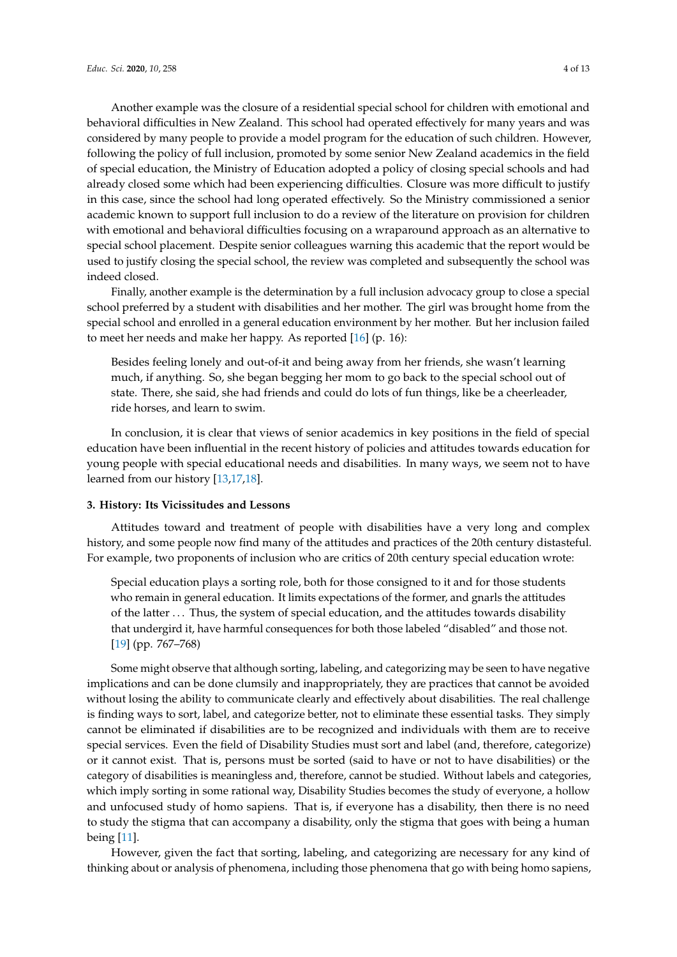Another example was the closure of a residential special school for children with emotional and behavioral difficulties in New Zealand. This school had operated effectively for many years and was considered by many people to provide a model program for the education of such children. However, following the policy of full inclusion, promoted by some senior New Zealand academics in the field of special education, the Ministry of Education adopted a policy of closing special schools and had already closed some which had been experiencing difficulties. Closure was more difficult to justify in this case, since the school had long operated effectively. So the Ministry commissioned a senior academic known to support full inclusion to do a review of the literature on provision for children with emotional and behavioral difficulties focusing on a wraparound approach as an alternative to special school placement. Despite senior colleagues warning this academic that the report would be used to justify closing the special school, the review was completed and subsequently the school was indeed closed.

Finally, another example is the determination by a full inclusion advocacy group to close a special school preferred by a student with disabilities and her mother. The girl was brought home from the special school and enrolled in a general education environment by her mother. But her inclusion failed to meet her needs and make her happy. As reported [\[16\]](#page-11-10) (p. 16):

Besides feeling lonely and out-of-it and being away from her friends, she wasn't learning much, if anything. So, she began begging her mom to go back to the special school out of state. There, she said, she had friends and could do lots of fun things, like be a cheerleader, ride horses, and learn to swim.

In conclusion, it is clear that views of senior academics in key positions in the field of special education have been influential in the recent history of policies and attitudes towards education for young people with special educational needs and disabilities. In many ways, we seem not to have learned from our history [\[13](#page-11-7)[,17,](#page-11-11)[18\]](#page-11-12).

#### **3. History: Its Vicissitudes and Lessons**

Attitudes toward and treatment of people with disabilities have a very long and complex history, and some people now find many of the attitudes and practices of the 20th century distasteful. For example, two proponents of inclusion who are critics of 20th century special education wrote:

Special education plays a sorting role, both for those consigned to it and for those students who remain in general education. It limits expectations of the former, and gnarls the attitudes of the latter . . . Thus, the system of special education, and the attitudes towards disability that undergird it, have harmful consequences for both those labeled "disabled" and those not. [\[19\]](#page-11-13) (pp. 767–768)

Some might observe that although sorting, labeling, and categorizing may be seen to have negative implications and can be done clumsily and inappropriately, they are practices that cannot be avoided without losing the ability to communicate clearly and effectively about disabilities. The real challenge is finding ways to sort, label, and categorize better, not to eliminate these essential tasks. They simply cannot be eliminated if disabilities are to be recognized and individuals with them are to receive special services. Even the field of Disability Studies must sort and label (and, therefore, categorize) or it cannot exist. That is, persons must be sorted (said to have or not to have disabilities) or the category of disabilities is meaningless and, therefore, cannot be studied. Without labels and categories, which imply sorting in some rational way, Disability Studies becomes the study of everyone, a hollow and unfocused study of homo sapiens. That is, if everyone has a disability, then there is no need to study the stigma that can accompany a disability, only the stigma that goes with being a human being [\[11\]](#page-11-5).

However, given the fact that sorting, labeling, and categorizing are necessary for any kind of thinking about or analysis of phenomena, including those phenomena that go with being homo sapiens,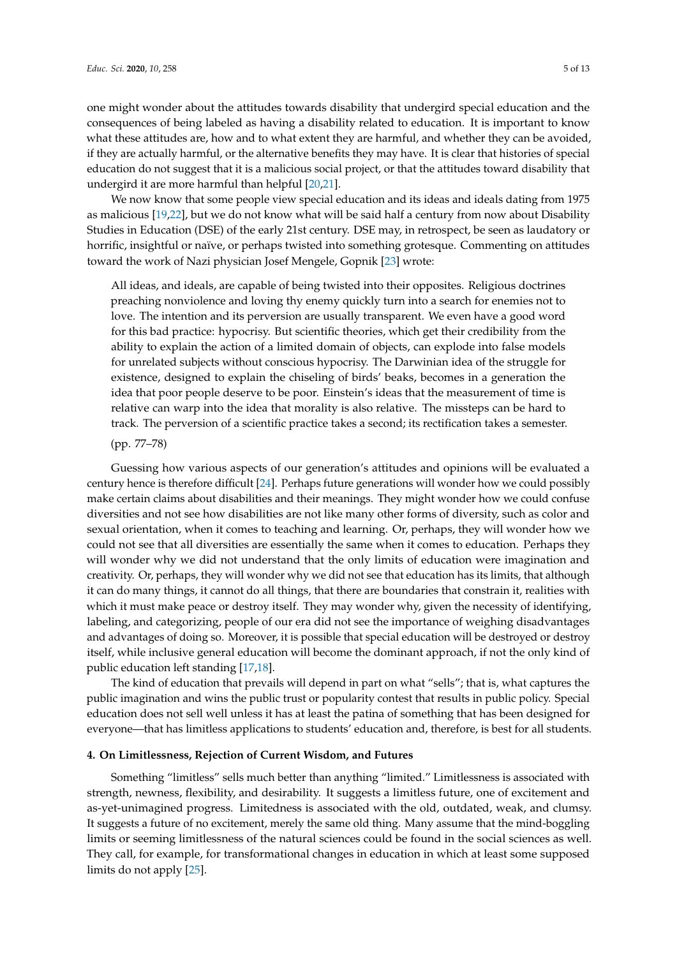one might wonder about the attitudes towards disability that undergird special education and the consequences of being labeled as having a disability related to education. It is important to know what these attitudes are, how and to what extent they are harmful, and whether they can be avoided, if they are actually harmful, or the alternative benefits they may have. It is clear that histories of special education do not suggest that it is a malicious social project, or that the attitudes toward disability that undergird it are more harmful than helpful [\[20,](#page-11-14)[21\]](#page-11-15).

We now know that some people view special education and its ideas and ideals dating from 1975 as malicious [\[19,](#page-11-13)[22\]](#page-11-16), but we do not know what will be said half a century from now about Disability Studies in Education (DSE) of the early 21st century. DSE may, in retrospect, be seen as laudatory or horrific, insightful or naïve, or perhaps twisted into something grotesque. Commenting on attitudes toward the work of Nazi physician Josef Mengele, Gopnik [\[23\]](#page-11-17) wrote:

All ideas, and ideals, are capable of being twisted into their opposites. Religious doctrines preaching nonviolence and loving thy enemy quickly turn into a search for enemies not to love. The intention and its perversion are usually transparent. We even have a good word for this bad practice: hypocrisy. But scientific theories, which get their credibility from the ability to explain the action of a limited domain of objects, can explode into false models for unrelated subjects without conscious hypocrisy. The Darwinian idea of the struggle for existence, designed to explain the chiseling of birds' beaks, becomes in a generation the idea that poor people deserve to be poor. Einstein's ideas that the measurement of time is relative can warp into the idea that morality is also relative. The missteps can be hard to track. The perversion of a scientific practice takes a second; its rectification takes a semester.

(pp. 77–78)

Guessing how various aspects of our generation's attitudes and opinions will be evaluated a century hence is therefore difficult [\[24\]](#page-11-18). Perhaps future generations will wonder how we could possibly make certain claims about disabilities and their meanings. They might wonder how we could confuse diversities and not see how disabilities are not like many other forms of diversity, such as color and sexual orientation, when it comes to teaching and learning. Or, perhaps, they will wonder how we could not see that all diversities are essentially the same when it comes to education. Perhaps they will wonder why we did not understand that the only limits of education were imagination and creativity. Or, perhaps, they will wonder why we did not see that education has its limits, that although it can do many things, it cannot do all things, that there are boundaries that constrain it, realities with which it must make peace or destroy itself. They may wonder why, given the necessity of identifying, labeling, and categorizing, people of our era did not see the importance of weighing disadvantages and advantages of doing so. Moreover, it is possible that special education will be destroyed or destroy itself, while inclusive general education will become the dominant approach, if not the only kind of public education left standing [\[17,](#page-11-11)[18\]](#page-11-12).

The kind of education that prevails will depend in part on what "sells"; that is, what captures the public imagination and wins the public trust or popularity contest that results in public policy. Special education does not sell well unless it has at least the patina of something that has been designed for everyone—that has limitless applications to students' education and, therefore, is best for all students.

### **4. On Limitlessness, Rejection of Current Wisdom, and Futures**

Something "limitless" sells much better than anything "limited." Limitlessness is associated with strength, newness, flexibility, and desirability. It suggests a limitless future, one of excitement and as-yet-unimagined progress. Limitedness is associated with the old, outdated, weak, and clumsy. It suggests a future of no excitement, merely the same old thing. Many assume that the mind-boggling limits or seeming limitlessness of the natural sciences could be found in the social sciences as well. They call, for example, for transformational changes in education in which at least some supposed limits do not apply [\[25\]](#page-11-19).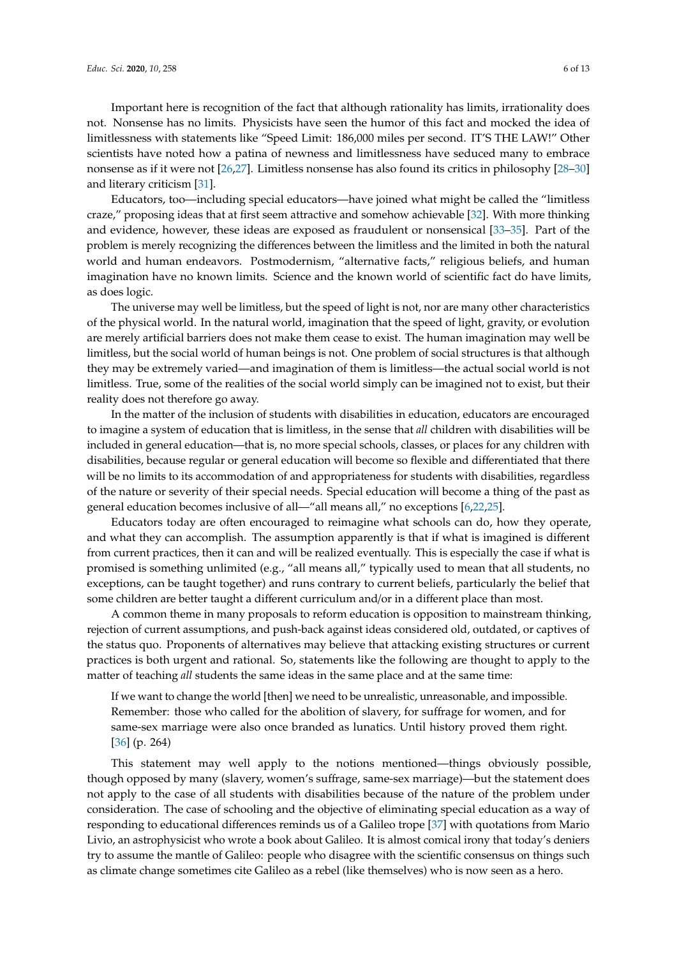Important here is recognition of the fact that although rationality has limits, irrationality does not. Nonsense has no limits. Physicists have seen the humor of this fact and mocked the idea of limitlessness with statements like "Speed Limit: 186,000 miles per second. IT'S THE LAW!" Other scientists have noted how a patina of newness and limitlessness have seduced many to embrace nonsense as if it were not [\[26,](#page-11-20)[27\]](#page-11-21). Limitless nonsense has also found its critics in philosophy [\[28](#page-11-22)[–30\]](#page-11-23) and literary criticism [\[31\]](#page-11-24).

Educators, too—including special educators—have joined what might be called the "limitless craze," proposing ideas that at first seem attractive and somehow achievable [\[32\]](#page-11-25). With more thinking and evidence, however, these ideas are exposed as fraudulent or nonsensical [\[33–](#page-11-26)[35\]](#page-12-0). Part of the problem is merely recognizing the differences between the limitless and the limited in both the natural world and human endeavors. Postmodernism, "alternative facts," religious beliefs, and human imagination have no known limits. Science and the known world of scientific fact do have limits, as does logic.

The universe may well be limitless, but the speed of light is not, nor are many other characteristics of the physical world. In the natural world, imagination that the speed of light, gravity, or evolution are merely artificial barriers does not make them cease to exist. The human imagination may well be limitless, but the social world of human beings is not. One problem of social structures is that although they may be extremely varied—and imagination of them is limitless—the actual social world is not limitless. True, some of the realities of the social world simply can be imagined not to exist, but their reality does not therefore go away.

In the matter of the inclusion of students with disabilities in education, educators are encouraged to imagine a system of education that is limitless, in the sense that *all* children with disabilities will be included in general education—that is, no more special schools, classes, or places for any children with disabilities, because regular or general education will become so flexible and differentiated that there will be no limits to its accommodation of and appropriateness for students with disabilities, regardless of the nature or severity of their special needs. Special education will become a thing of the past as general education becomes inclusive of all—"all means all," no exceptions [\[6,](#page-11-0)[22,](#page-11-16)[25\]](#page-11-19).

Educators today are often encouraged to reimagine what schools can do, how they operate, and what they can accomplish. The assumption apparently is that if what is imagined is different from current practices, then it can and will be realized eventually. This is especially the case if what is promised is something unlimited (e.g., "all means all," typically used to mean that all students, no exceptions, can be taught together) and runs contrary to current beliefs, particularly the belief that some children are better taught a different curriculum and/or in a different place than most.

A common theme in many proposals to reform education is opposition to mainstream thinking, rejection of current assumptions, and push-back against ideas considered old, outdated, or captives of the status quo. Proponents of alternatives may believe that attacking existing structures or current practices is both urgent and rational. So, statements like the following are thought to apply to the matter of teaching *all* students the same ideas in the same place and at the same time:

If we want to change the world [then] we need to be unrealistic, unreasonable, and impossible. Remember: those who called for the abolition of slavery, for suffrage for women, and for same-sex marriage were also once branded as lunatics. Until history proved them right. [\[36\]](#page-12-1) (p. 264)

This statement may well apply to the notions mentioned—things obviously possible, though opposed by many (slavery, women's suffrage, same-sex marriage)—but the statement does not apply to the case of all students with disabilities because of the nature of the problem under consideration. The case of schooling and the objective of eliminating special education as a way of responding to educational differences reminds us of a Galileo trope [\[37\]](#page-12-2) with quotations from Mario Livio, an astrophysicist who wrote a book about Galileo. It is almost comical irony that today's deniers try to assume the mantle of Galileo: people who disagree with the scientific consensus on things such as climate change sometimes cite Galileo as a rebel (like themselves) who is now seen as a hero.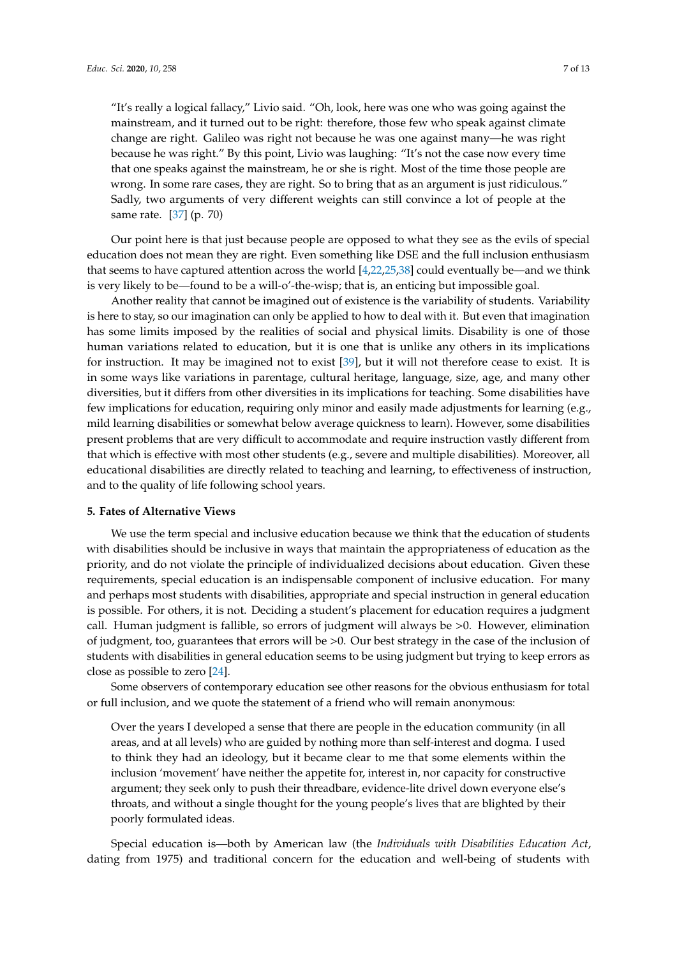"It's really a logical fallacy," Livio said. "Oh, look, here was one who was going against the mainstream, and it turned out to be right: therefore, those few who speak against climate change are right. Galileo was right not because he was one against many—he was right because he was right." By this point, Livio was laughing: "It's not the case now every time that one speaks against the mainstream, he or she is right. Most of the time those people are wrong. In some rare cases, they are right. So to bring that as an argument is just ridiculous." Sadly, two arguments of very different weights can still convince a lot of people at the same rate. [\[37\]](#page-12-2) (p. 70)

Our point here is that just because people are opposed to what they see as the evils of special education does not mean they are right. Even something like DSE and the full inclusion enthusiasm that seems to have captured attention across the world [\[4,](#page-10-4)[22,](#page-11-16)[25](#page-11-19)[,38\]](#page-12-3) could eventually be—and we think is very likely to be—found to be a will-o'-the-wisp; that is, an enticing but impossible goal.

Another reality that cannot be imagined out of existence is the variability of students. Variability is here to stay, so our imagination can only be applied to how to deal with it. But even that imagination has some limits imposed by the realities of social and physical limits. Disability is one of those human variations related to education, but it is one that is unlike any others in its implications for instruction. It may be imagined not to exist [\[39\]](#page-12-4), but it will not therefore cease to exist. It is in some ways like variations in parentage, cultural heritage, language, size, age, and many other diversities, but it differs from other diversities in its implications for teaching. Some disabilities have few implications for education, requiring only minor and easily made adjustments for learning (e.g., mild learning disabilities or somewhat below average quickness to learn). However, some disabilities present problems that are very difficult to accommodate and require instruction vastly different from that which is effective with most other students (e.g., severe and multiple disabilities). Moreover, all educational disabilities are directly related to teaching and learning, to effectiveness of instruction, and to the quality of life following school years.

#### **5. Fates of Alternative Views**

We use the term special and inclusive education because we think that the education of students with disabilities should be inclusive in ways that maintain the appropriateness of education as the priority, and do not violate the principle of individualized decisions about education. Given these requirements, special education is an indispensable component of inclusive education. For many and perhaps most students with disabilities, appropriate and special instruction in general education is possible. For others, it is not. Deciding a student's placement for education requires a judgment call. Human judgment is fallible, so errors of judgment will always be >0. However, elimination of judgment, too, guarantees that errors will be >0. Our best strategy in the case of the inclusion of students with disabilities in general education seems to be using judgment but trying to keep errors as close as possible to zero [\[24\]](#page-11-18).

Some observers of contemporary education see other reasons for the obvious enthusiasm for total or full inclusion, and we quote the statement of a friend who will remain anonymous:

Over the years I developed a sense that there are people in the education community (in all areas, and at all levels) who are guided by nothing more than self-interest and dogma. I used to think they had an ideology, but it became clear to me that some elements within the inclusion 'movement' have neither the appetite for, interest in, nor capacity for constructive argument; they seek only to push their threadbare, evidence-lite drivel down everyone else's throats, and without a single thought for the young people's lives that are blighted by their poorly formulated ideas.

Special education is—both by American law (the *Individuals with Disabilities Education Act*, dating from 1975) and traditional concern for the education and well-being of students with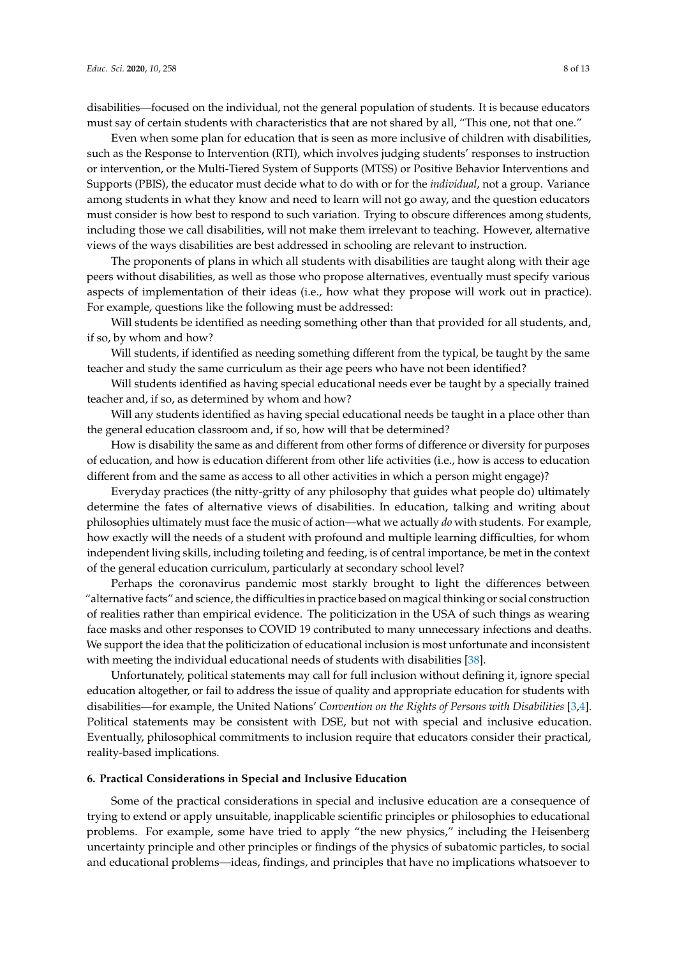disabilities—focused on the individual, not the general population of students. It is because educators must say of certain students with characteristics that are not shared by all, "This one, not that one."

Even when some plan for education that is seen as more inclusive of children with disabilities, such as the Response to Intervention (RTI), which involves judging students' responses to instruction or intervention, or the Multi-Tiered System of Supports (MTSS) or Positive Behavior Interventions and Supports (PBIS), the educator must decide what to do with or for the *individual*, not a group. Variance among students in what they know and need to learn will not go away, and the question educators must consider is how best to respond to such variation. Trying to obscure differences among students, including those we call disabilities, will not make them irrelevant to teaching. However, alternative views of the ways disabilities are best addressed in schooling are relevant to instruction.

The proponents of plans in which all students with disabilities are taught along with their age peers without disabilities, as well as those who propose alternatives, eventually must specify various aspects of implementation of their ideas (i.e., how what they propose will work out in practice). For example, questions like the following must be addressed:

Will students be identified as needing something other than that provided for all students, and, if so, by whom and how?

Will students, if identified as needing something different from the typical, be taught by the same teacher and study the same curriculum as their age peers who have not been identified?

Will students identified as having special educational needs ever be taught by a specially trained teacher and, if so, as determined by whom and how?

Will any students identified as having special educational needs be taught in a place other than the general education classroom and, if so, how will that be determined?

How is disability the same as and different from other forms of difference or diversity for purposes of education, and how is education different from other life activities (i.e., how is access to education different from and the same as access to all other activities in which a person might engage)?

Everyday practices (the nitty-gritty of any philosophy that guides what people do) ultimately determine the fates of alternative views of disabilities. In education, talking and writing about philosophies ultimately must face the music of action—what we actually *do* with students. For example, how exactly will the needs of a student with profound and multiple learning difficulties, for whom independent living skills, including toileting and feeding, is of central importance, be met in the context of the general education curriculum, particularly at secondary school level?

Perhaps the coronavirus pandemic most starkly brought to light the differences between "alternative facts" and science, the difficulties in practice based on magical thinking or social construction of realities rather than empirical evidence. The politicization in the USA of such things as wearing face masks and other responses to COVID 19 contributed to many unnecessary infections and deaths. We support the idea that the politicization of educational inclusion is most unfortunate and inconsistent with meeting the individual educational needs of students with disabilities [\[38\]](#page-12-3).

Unfortunately, political statements may call for full inclusion without defining it, ignore special education altogether, or fail to address the issue of quality and appropriate education for students with disabilities—for example, the United Nations' *Convention on the Rights of Persons with Disabilities* [\[3,](#page-10-2)[4\]](#page-10-4). Political statements may be consistent with DSE, but not with special and inclusive education. Eventually, philosophical commitments to inclusion require that educators consider their practical, reality-based implications.

### **6. Practical Considerations in Special and Inclusive Education**

Some of the practical considerations in special and inclusive education are a consequence of trying to extend or apply unsuitable, inapplicable scientific principles or philosophies to educational problems. For example, some have tried to apply "the new physics," including the Heisenberg uncertainty principle and other principles or findings of the physics of subatomic particles, to social and educational problems—ideas, findings, and principles that have no implications whatsoever to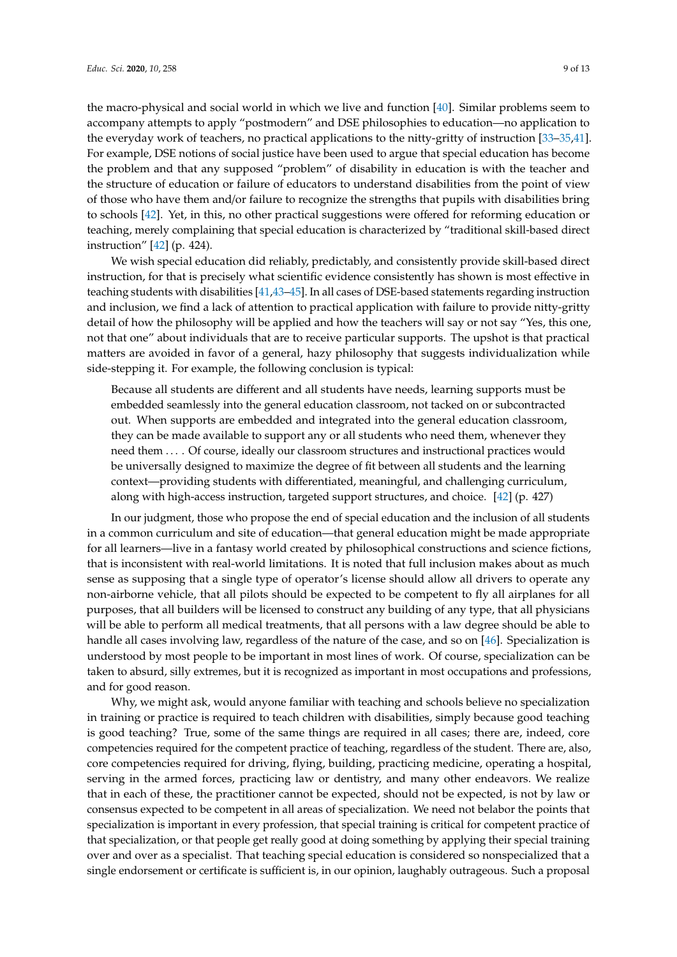the macro-physical and social world in which we live and function [\[40\]](#page-12-5). Similar problems seem to accompany attempts to apply "postmodern" and DSE philosophies to education—no application to the everyday work of teachers, no practical applications to the nitty-gritty of instruction [\[33](#page-11-26)[–35,](#page-12-0)[41\]](#page-12-6). For example, DSE notions of social justice have been used to argue that special education has become the problem and that any supposed "problem" of disability in education is with the teacher and the structure of education or failure of educators to understand disabilities from the point of view of those who have them and/or failure to recognize the strengths that pupils with disabilities bring to schools [\[42\]](#page-12-7). Yet, in this, no other practical suggestions were offered for reforming education or teaching, merely complaining that special education is characterized by "traditional skill-based direct instruction" [\[42\]](#page-12-7) (p. 424).

We wish special education did reliably, predictably, and consistently provide skill-based direct instruction, for that is precisely what scientific evidence consistently has shown is most effective in teaching students with disabilities [\[41,](#page-12-6)[43–](#page-12-8)[45\]](#page-12-9). In all cases of DSE-based statements regarding instruction and inclusion, we find a lack of attention to practical application with failure to provide nitty-gritty detail of how the philosophy will be applied and how the teachers will say or not say "Yes, this one, not that one" about individuals that are to receive particular supports. The upshot is that practical matters are avoided in favor of a general, hazy philosophy that suggests individualization while side-stepping it. For example, the following conclusion is typical:

Because all students are different and all students have needs, learning supports must be embedded seamlessly into the general education classroom, not tacked on or subcontracted out. When supports are embedded and integrated into the general education classroom, they can be made available to support any or all students who need them, whenever they need them . . . . Of course, ideally our classroom structures and instructional practices would be universally designed to maximize the degree of fit between all students and the learning context—providing students with differentiated, meaningful, and challenging curriculum, along with high-access instruction, targeted support structures, and choice. [\[42\]](#page-12-7) (p. 427)

In our judgment, those who propose the end of special education and the inclusion of all students in a common curriculum and site of education—that general education might be made appropriate for all learners—live in a fantasy world created by philosophical constructions and science fictions, that is inconsistent with real-world limitations. It is noted that full inclusion makes about as much sense as supposing that a single type of operator's license should allow all drivers to operate any non-airborne vehicle, that all pilots should be expected to be competent to fly all airplanes for all purposes, that all builders will be licensed to construct any building of any type, that all physicians will be able to perform all medical treatments, that all persons with a law degree should be able to handle all cases involving law, regardless of the nature of the case, and so on [\[46\]](#page-12-10). Specialization is understood by most people to be important in most lines of work. Of course, specialization can be taken to absurd, silly extremes, but it is recognized as important in most occupations and professions, and for good reason.

Why, we might ask, would anyone familiar with teaching and schools believe no specialization in training or practice is required to teach children with disabilities, simply because good teaching is good teaching? True, some of the same things are required in all cases; there are, indeed, core competencies required for the competent practice of teaching, regardless of the student. There are, also, core competencies required for driving, flying, building, practicing medicine, operating a hospital, serving in the armed forces, practicing law or dentistry, and many other endeavors. We realize that in each of these, the practitioner cannot be expected, should not be expected, is not by law or consensus expected to be competent in all areas of specialization. We need not belabor the points that specialization is important in every profession, that special training is critical for competent practice of that specialization, or that people get really good at doing something by applying their special training over and over as a specialist. That teaching special education is considered so nonspecialized that a single endorsement or certificate is sufficient is, in our opinion, laughably outrageous. Such a proposal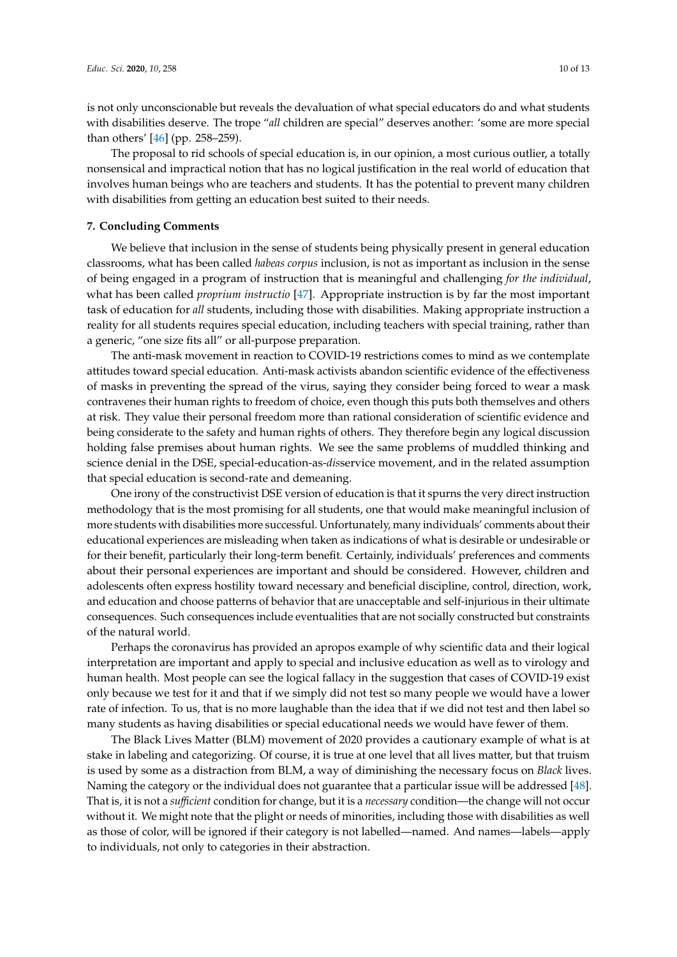is not only unconscionable but reveals the devaluation of what special educators do and what students with disabilities deserve. The trope "*all* children are special" deserves another: 'some are more special than others' [\[46\]](#page-12-10) (pp. 258–259).

The proposal to rid schools of special education is, in our opinion, a most curious outlier, a totally nonsensical and impractical notion that has no logical justification in the real world of education that involves human beings who are teachers and students. It has the potential to prevent many children with disabilities from getting an education best suited to their needs.

## **7. Concluding Comments**

We believe that inclusion in the sense of students being physically present in general education classrooms, what has been called *habeas corpus* inclusion, is not as important as inclusion in the sense of being engaged in a program of instruction that is meaningful and challenging *for the individual*, what has been called *proprium instructio* [\[47\]](#page-12-11). Appropriate instruction is by far the most important task of education for *all* students, including those with disabilities. Making appropriate instruction a reality for all students requires special education, including teachers with special training, rather than a generic, "one size fits all" or all-purpose preparation.

The anti-mask movement in reaction to COVID-19 restrictions comes to mind as we contemplate attitudes toward special education. Anti-mask activists abandon scientific evidence of the effectiveness of masks in preventing the spread of the virus, saying they consider being forced to wear a mask contravenes their human rights to freedom of choice, even though this puts both themselves and others at risk. They value their personal freedom more than rational consideration of scientific evidence and being considerate to the safety and human rights of others. They therefore begin any logical discussion holding false premises about human rights. We see the same problems of muddled thinking and science denial in the DSE, special-education-as-*dis*service movement, and in the related assumption that special education is second-rate and demeaning.

One irony of the constructivist DSE version of education is that it spurns the very direct instruction methodology that is the most promising for all students, one that would make meaningful inclusion of more students with disabilities more successful. Unfortunately, many individuals' comments about their educational experiences are misleading when taken as indications of what is desirable or undesirable or for their benefit, particularly their long-term benefit. Certainly, individuals' preferences and comments about their personal experiences are important and should be considered. However, children and adolescents often express hostility toward necessary and beneficial discipline, control, direction, work, and education and choose patterns of behavior that are unacceptable and self-injurious in their ultimate consequences. Such consequences include eventualities that are not socially constructed but constraints of the natural world.

Perhaps the coronavirus has provided an apropos example of why scientific data and their logical interpretation are important and apply to special and inclusive education as well as to virology and human health. Most people can see the logical fallacy in the suggestion that cases of COVID-19 exist only because we test for it and that if we simply did not test so many people we would have a lower rate of infection. To us, that is no more laughable than the idea that if we did not test and then label so many students as having disabilities or special educational needs we would have fewer of them.

The Black Lives Matter (BLM) movement of 2020 provides a cautionary example of what is at stake in labeling and categorizing. Of course, it is true at one level that all lives matter, but that truism is used by some as a distraction from BLM, a way of diminishing the necessary focus on *Black* lives. Naming the category or the individual does not guarantee that a particular issue will be addressed [\[48\]](#page-12-12). That is, it is not a *su*ffi*cient* condition for change, but it is a *necessary* condition—the change will not occur without it. We might note that the plight or needs of minorities, including those with disabilities as well as those of color, will be ignored if their category is not labelled—named. And names—labels—apply to individuals, not only to categories in their abstraction.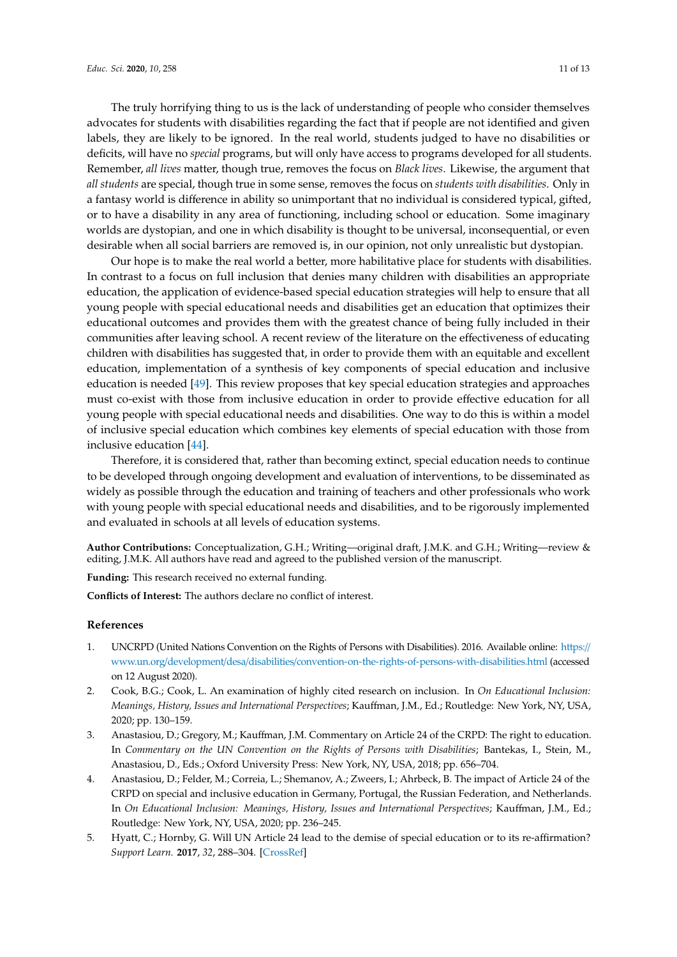The truly horrifying thing to us is the lack of understanding of people who consider themselves advocates for students with disabilities regarding the fact that if people are not identified and given labels, they are likely to be ignored. In the real world, students judged to have no disabilities or deficits, will have no *special* programs, but will only have access to programs developed for all students. Remember, *all lives* matter, though true, removes the focus on *Black lives*. Likewise, the argument that *all students* are special, though true in some sense, removes the focus on *students with disabilities*. Only in a fantasy world is difference in ability so unimportant that no individual is considered typical, gifted, or to have a disability in any area of functioning, including school or education. Some imaginary worlds are dystopian, and one in which disability is thought to be universal, inconsequential, or even desirable when all social barriers are removed is, in our opinion, not only unrealistic but dystopian.

Our hope is to make the real world a better, more habilitative place for students with disabilities. In contrast to a focus on full inclusion that denies many children with disabilities an appropriate education, the application of evidence-based special education strategies will help to ensure that all young people with special educational needs and disabilities get an education that optimizes their educational outcomes and provides them with the greatest chance of being fully included in their communities after leaving school. A recent review of the literature on the effectiveness of educating children with disabilities has suggested that, in order to provide them with an equitable and excellent education, implementation of a synthesis of key components of special education and inclusive education is needed [\[49\]](#page-12-13). This review proposes that key special education strategies and approaches must co-exist with those from inclusive education in order to provide effective education for all young people with special educational needs and disabilities. One way to do this is within a model of inclusive special education which combines key elements of special education with those from inclusive education [\[44\]](#page-12-14).

Therefore, it is considered that, rather than becoming extinct, special education needs to continue to be developed through ongoing development and evaluation of interventions, to be disseminated as widely as possible through the education and training of teachers and other professionals who work with young people with special educational needs and disabilities, and to be rigorously implemented and evaluated in schools at all levels of education systems.

**Author Contributions:** Conceptualization, G.H.; Writing—original draft, J.M.K. and G.H.; Writing—review & editing, J.M.K. All authors have read and agreed to the published version of the manuscript.

**Funding:** This research received no external funding.

**Conflicts of Interest:** The authors declare no conflict of interest.

## **References**

- <span id="page-10-0"></span>1. UNCRPD (United Nations Convention on the Rights of Persons with Disabilities). 2016. Available online: [https:](https://www.un.org/development/desa/disabilities/convention-on-the-rights-of-persons-with-disabilities.html)// www.un.org/development/desa/disabilities/[convention-on-the-rights-of-persons-with-disabilities.html](https://www.un.org/development/desa/disabilities/convention-on-the-rights-of-persons-with-disabilities.html) (accessed on 12 August 2020).
- <span id="page-10-1"></span>2. Cook, B.G.; Cook, L. An examination of highly cited research on inclusion. In *On Educational Inclusion: Meanings, History, Issues and International Perspectives*; Kauffman, J.M., Ed.; Routledge: New York, NY, USA, 2020; pp. 130–159.
- <span id="page-10-2"></span>3. Anastasiou, D.; Gregory, M.; Kauffman, J.M. Commentary on Article 24 of the CRPD: The right to education. In *Commentary on the UN Convention on the Rights of Persons with Disabilities*; Bantekas, I., Stein, M., Anastasiou, D., Eds.; Oxford University Press: New York, NY, USA, 2018; pp. 656–704.
- <span id="page-10-4"></span>4. Anastasiou, D.; Felder, M.; Correia, L.; Shemanov, A.; Zweers, I.; Ahrbeck, B. The impact of Article 24 of the CRPD on special and inclusive education in Germany, Portugal, the Russian Federation, and Netherlands. In *On Educational Inclusion: Meanings, History, Issues and International Perspectives*; Kauffman, J.M., Ed.; Routledge: New York, NY, USA, 2020; pp. 236–245.
- <span id="page-10-3"></span>5. Hyatt, C.; Hornby, G. Will UN Article 24 lead to the demise of special education or to its re-affirmation? *Support Learn.* **2017**, *32*, 288–304. [\[CrossRef\]](http://dx.doi.org/10.1111/1467-9604.12170)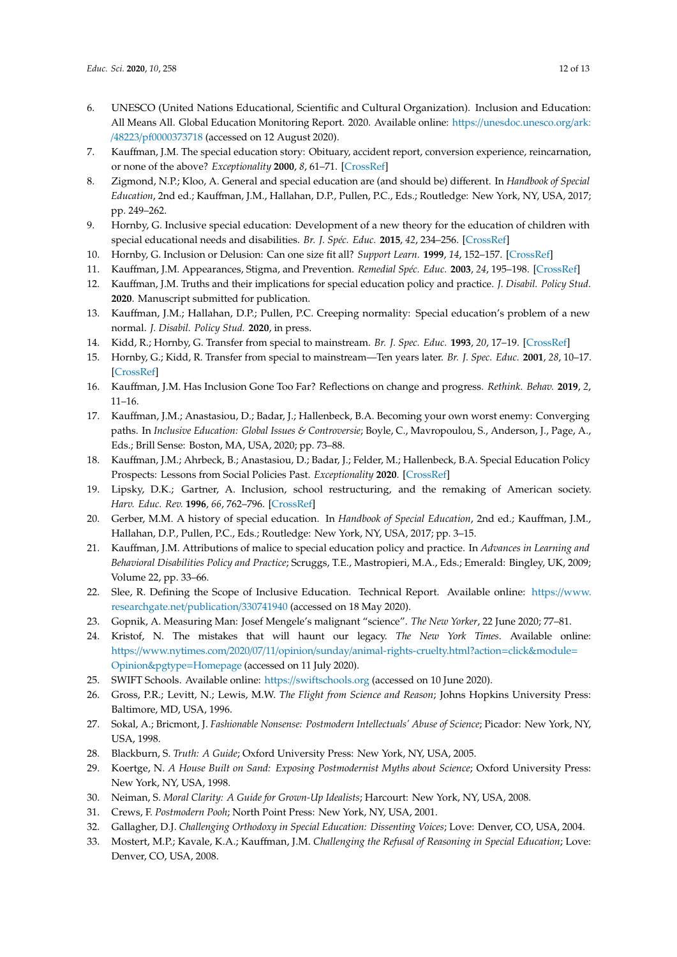- <span id="page-11-0"></span>6. UNESCO (United Nations Educational, Scientific and Cultural Organization). Inclusion and Education: All Means All. Global Education Monitoring Report. 2020. Available online: https://[unesdoc.unesco.org](https://unesdoc.unesco.org/ark:/48223/pf0000373718)/ark: /48223/[pf0000373718](https://unesdoc.unesco.org/ark:/48223/pf0000373718) (accessed on 12 August 2020).
- <span id="page-11-1"></span>7. Kauffman, J.M. The special education story: Obituary, accident report, conversion experience, reincarnation, or none of the above? *Exceptionality* **2000**, *8*, 61–71. [\[CrossRef\]](http://dx.doi.org/10.1207/S15327035EX0801_6)
- <span id="page-11-2"></span>8. Zigmond, N.P.; Kloo, A. General and special education are (and should be) different. In *Handbook of Special Education*, 2nd ed.; Kauffman, J.M., Hallahan, D.P., Pullen, P.C., Eds.; Routledge: New York, NY, USA, 2017; pp. 249–262.
- <span id="page-11-3"></span>9. Hornby, G. Inclusive special education: Development of a new theory for the education of children with special educational needs and disabilities. *Br. J. Spéc. Educ.* **2015**, *42*, 234–256. [\[CrossRef\]](http://dx.doi.org/10.1111/1467-8578.12101)
- <span id="page-11-4"></span>10. Hornby, G. Inclusion or Delusion: Can one size fit all? *Support Learn.* **1999**, *14*, 152–157. [\[CrossRef\]](http://dx.doi.org/10.1111/1467-9604.00122)
- <span id="page-11-5"></span>11. Kauffman, J.M. Appearances, Stigma, and Prevention. *Remedial Spéc. Educ.* **2003**, *24*, 195–198. [\[CrossRef\]](http://dx.doi.org/10.1177/07419325030240040201)
- <span id="page-11-6"></span>12. Kauffman, J.M. Truths and their implications for special education policy and practice. *J. Disabil. Policy Stud.* **2020**. Manuscript submitted for publication.
- <span id="page-11-7"></span>13. Kauffman, J.M.; Hallahan, D.P.; Pullen, P.C. Creeping normality: Special education's problem of a new normal. *J. Disabil. Policy Stud.* **2020**, in press.
- <span id="page-11-8"></span>14. Kidd, R.; Hornby, G. Transfer from special to mainstream. *Br. J. Spec. Educ.* **1993**, *20*, 17–19. [\[CrossRef\]](http://dx.doi.org/10.1111/j.1467-8578.1993.tb00022.x)
- <span id="page-11-9"></span>15. Hornby, G.; Kidd, R. Transfer from special to mainstream—Ten years later. *Br. J. Spec. Educ.* **2001**, *28*, 10–17. [\[CrossRef\]](http://dx.doi.org/10.1111/1467-8527.t01-1-00198)
- <span id="page-11-10"></span>16. Kauffman, J.M. Has Inclusion Gone Too Far? Reflections on change and progress. *Rethink. Behav.* **2019**, *2*, 11–16.
- <span id="page-11-11"></span>17. Kauffman, J.M.; Anastasiou, D.; Badar, J.; Hallenbeck, B.A. Becoming your own worst enemy: Converging paths. In *Inclusive Education: Global Issues & Controversie*; Boyle, C., Mavropoulou, S., Anderson, J., Page, A., Eds.; Brill Sense: Boston, MA, USA, 2020; pp. 73–88.
- <span id="page-11-12"></span>18. Kauffman, J.M.; Ahrbeck, B.; Anastasiou, D.; Badar, J.; Felder, M.; Hallenbeck, B.A. Special Education Policy Prospects: Lessons from Social Policies Past. *Exceptionality* **2020**. [\[CrossRef\]](http://dx.doi.org/10.1080/09362835.2020.1727326)
- <span id="page-11-13"></span>19. Lipsky, D.K.; Gartner, A. Inclusion, school restructuring, and the remaking of American society. *Harv. Educ. Rev.* **1996**, *66*, 762–796. [\[CrossRef\]](http://dx.doi.org/10.17763/haer.66.4.3686k7x734246430)
- <span id="page-11-14"></span>20. Gerber, M.M. A history of special education. In *Handbook of Special Education*, 2nd ed.; Kauffman, J.M., Hallahan, D.P., Pullen, P.C., Eds.; Routledge: New York, NY, USA, 2017; pp. 3–15.
- <span id="page-11-15"></span>21. Kauffman, J.M. Attributions of malice to special education policy and practice. In *Advances in Learning and Behavioral Disabilities Policy and Practice*; Scruggs, T.E., Mastropieri, M.A., Eds.; Emerald: Bingley, UK, 2009; Volume 22, pp. 33–66.
- <span id="page-11-16"></span>22. Slee, R. Defining the Scope of Inclusive Education. Technical Report. Available online: https://[www.](https://www.researchgate.net/publication/330741940) [researchgate.net](https://www.researchgate.net/publication/330741940)/publication/330741940 (accessed on 18 May 2020).
- <span id="page-11-17"></span>23. Gopnik, A. Measuring Man: Josef Mengele's malignant "science". *The New Yorker*, 22 June 2020; 77–81.
- <span id="page-11-18"></span>24. Kristof, N. The mistakes that will haunt our legacy. *The New York Times*. Available online: https://www.nytimes.com/2020/07/11/opinion/sunday/[animal-rights-cruelty.html?action](https://www.nytimes.com/2020/07/11/opinion/sunday/animal-rights-cruelty.html?action=click&module=Opinion&pgtype=Homepage)=click&module= [Opinion&pgtype](https://www.nytimes.com/2020/07/11/opinion/sunday/animal-rights-cruelty.html?action=click&module=Opinion&pgtype=Homepage)=Homepage (accessed on 11 July 2020).
- <span id="page-11-19"></span>25. SWIFT Schools. Available online: https://[swiftschools.org](https://swiftschools.org) (accessed on 10 June 2020).
- <span id="page-11-20"></span>26. Gross, P.R.; Levitt, N.; Lewis, M.W. *The Flight from Science and Reason*; Johns Hopkins University Press: Baltimore, MD, USA, 1996.
- <span id="page-11-21"></span>27. Sokal, A.; Bricmont, J. *Fashionable Nonsense: Postmodern Intellectuals' Abuse of Science*; Picador: New York, NY, USA, 1998.
- <span id="page-11-22"></span>28. Blackburn, S. *Truth: A Guide*; Oxford University Press: New York, NY, USA, 2005.
- 29. Koertge, N. *A House Built on Sand: Exposing Postmodernist Myths about Science*; Oxford University Press: New York, NY, USA, 1998.
- <span id="page-11-23"></span>30. Neiman, S. *Moral Clarity: A Guide for Grown-Up Idealists*; Harcourt: New York, NY, USA, 2008.
- <span id="page-11-24"></span>31. Crews, F. *Postmodern Pooh*; North Point Press: New York, NY, USA, 2001.
- <span id="page-11-25"></span>32. Gallagher, D.J. *Challenging Orthodoxy in Special Education: Dissenting Voices*; Love: Denver, CO, USA, 2004.
- <span id="page-11-26"></span>33. Mostert, M.P.; Kavale, K.A.; Kauffman, J.M. *Challenging the Refusal of Reasoning in Special Education*; Love: Denver, CO, USA, 2008.